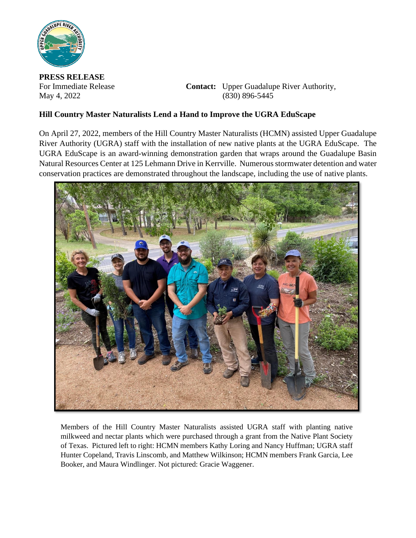

**PRESS RELEASE**

For Immediate Release **Contact:** Upper Guadalupe River Authority, May 4, 2022 (830) 896-5445

## **Hill Country Master Naturalists Lend a Hand to Improve the UGRA EduScape**

On April 27, 2022, members of the Hill Country Master Naturalists (HCMN) assisted Upper Guadalupe River Authority (UGRA) staff with the installation of new native plants at the UGRA EduScape. The UGRA EduScape is an award-winning demonstration garden that wraps around the Guadalupe Basin Natural Resources Center at 125 Lehmann Drive in Kerrville. Numerous stormwater detention and water conservation practices are demonstrated throughout the landscape, including the use of native plants.



Members of the Hill Country Master Naturalists assisted UGRA staff with planting native milkweed and nectar plants which were purchased through a grant from the Native Plant Society of Texas. Pictured left to right: HCMN members Kathy Loring and Nancy Huffman; UGRA staff Hunter Copeland, Travis Linscomb, and Matthew Wilkinson; HCMN members Frank Garcia, Lee Booker, and Maura Windlinger. Not pictured: Gracie Waggener.